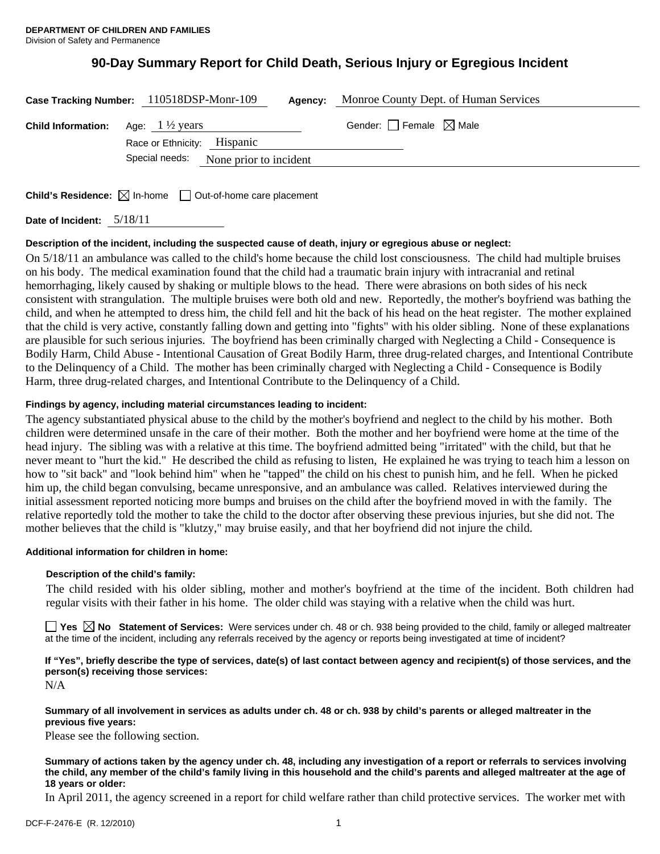# **90-Day Summary Report for Child Death, Serious Injury or Egregious Incident**

|                                                     | Monroe County Dept. of Human Services<br>Case Tracking Number: 110518DSP-Monr-109<br>Agency: |  |                                        |  |
|-----------------------------------------------------|----------------------------------------------------------------------------------------------|--|----------------------------------------|--|
| <b>Child Information:</b> Age: $1\frac{1}{2}$ years |                                                                                              |  | Gender: $\Box$ Female $\boxtimes$ Male |  |
|                                                     | Race or Ethnicity: Hispanic                                                                  |  |                                        |  |
|                                                     | Special needs: None prior to incident                                                        |  |                                        |  |
|                                                     |                                                                                              |  |                                        |  |
|                                                     |                                                                                              |  |                                        |  |

**Child's Residence:**  $\boxtimes$  In-home  $\Box$  Out-of-home care placement

**Date of Incident:** 5/18/11

#### **Description of the incident, including the suspected cause of death, injury or egregious abuse or neglect:**

On 5/18/11 an ambulance was called to the child's home because the child lost consciousness. The child had multiple bruises on his body. The medical examination found that the child had a traumatic brain injury with intracranial and retinal hemorrhaging, likely caused by shaking or multiple blows to the head. There were abrasions on both sides of his neck consistent with strangulation. The multiple bruises were both old and new. Reportedly, the mother's boyfriend was bathing the child, and when he attempted to dress him, the child fell and hit the back of his head on the heat register. The mother explained that the child is very active, constantly falling down and getting into "fights" with his older sibling. None of these explanations are plausible for such serious injuries. The boyfriend has been criminally charged with Neglecting a Child - Consequence is Bodily Harm, Child Abuse - Intentional Causation of Great Bodily Harm, three drug-related charges, and Intentional Contribute to the Delinquency of a Child. The mother has been criminally charged with Neglecting a Child - Consequence is Bodily Harm, three drug-related charges, and Intentional Contribute to the Delinquency of a Child.

## **Findings by agency, including material circumstances leading to incident:**

The agency substantiated physical abuse to the child by the mother's boyfriend and neglect to the child by his mother. Both children were determined unsafe in the care of their mother. Both the mother and her boyfriend were home at the time of the head injury. The sibling was with a relative at this time. The boyfriend admitted being "irritated" with the child, but that he never meant to "hurt the kid." He described the child as refusing to listen, He explained he was trying to teach him a lesson on how to "sit back" and "look behind him" when he "tapped" the child on his chest to punish him, and he fell. When he picked him up, the child began convulsing, became unresponsive, and an ambulance was called. Relatives interviewed during the initial assessment reported noticing more bumps and bruises on the child after the boyfriend moved in with the family. The relative reportedly told the mother to take the child to the doctor after observing these previous injuries, but she did not. The mother believes that the child is "klutzy," may bruise easily, and that her boyfriend did not injure the child.

#### **Additional information for children in home:**

#### **Description of the child's family:**

The child resided with his older sibling, mother and mother's boyfriend at the time of the incident. Both children had regular visits with their father in his home. The older child was staying with a relative when the child was hurt.

**Yes No Statement of Services:** Were services under ch. 48 or ch. 938 being provided to the child, family or alleged maltreater at the time of the incident, including any referrals received by the agency or reports being investigated at time of incident?

# **If "Yes", briefly describe the type of services, date(s) of last contact between agency and recipient(s) of those services, and the person(s) receiving those services:**

N/A

#### **Summary of all involvement in services as adults under ch. 48 or ch. 938 by child's parents or alleged maltreater in the previous five years:**

Please see the following section.

**Summary of actions taken by the agency under ch. 48, including any investigation of a report or referrals to services involving the child, any member of the child's family living in this household and the child's parents and alleged maltreater at the age of 18 years or older:** 

In April 2011, the agency screened in a report for child welfare rather than child protective services. The worker met with